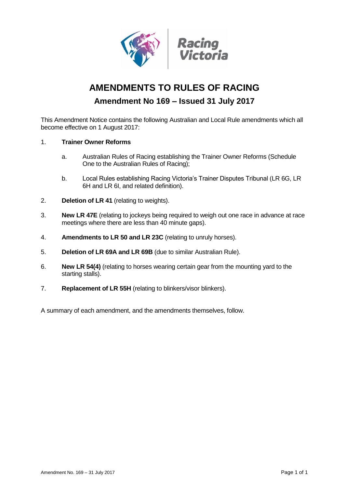

# **AMENDMENTS TO RULES OF RACING**

# **Amendment No 169 – Issued 31 July 2017**

This Amendment Notice contains the following Australian and Local Rule amendments which all become effective on 1 August 2017:

## 1. **Trainer Owner Reforms**

- a. Australian Rules of Racing establishing the Trainer Owner Reforms (Schedule One to the Australian Rules of Racing);
- b. Local Rules establishing Racing Victoria's Trainer Disputes Tribunal (LR 6G, LR 6H and LR 6I, and related definition).
- 2. **Deletion of LR 41** (relating to weights).
- 3. **New LR 47E** (relating to jockeys being required to weigh out one race in advance at race meetings where there are less than 40 minute gaps).
- 4. **Amendments to LR 50 and LR 23C** (relating to unruly horses).
- 5. **Deletion of LR 69A and LR 69B** (due to similar Australian Rule).
- 6. **New LR 54(4)** (relating to horses wearing certain gear from the mounting yard to the starting stalls).
- 7. **Replacement of LR 55H** (relating to blinkers/visor blinkers).

A summary of each amendment, and the amendments themselves, follow.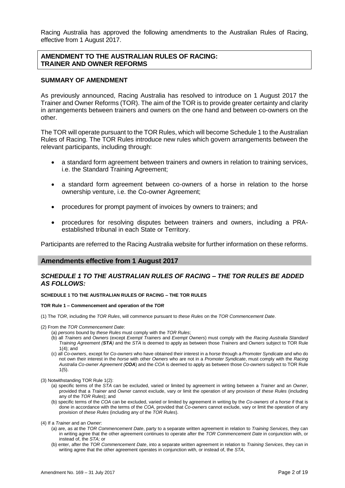Racing Australia has approved the following amendments to the Australian Rules of Racing, effective from 1 August 2017.

## **AMENDMENT TO THE AUSTRALIAN RULES OF RACING: TRAINER AND OWNER REFORMS**

## **SUMMARY OF AMENDMENT**

As previously announced, Racing Australia has resolved to introduce on 1 August 2017 the Trainer and Owner Reforms (TOR). The aim of the TOR is to provide greater certainty and clarity in arrangements between trainers and owners on the one hand and between co-owners on the other.

The TOR will operate pursuant to the TOR Rules, which will become Schedule 1 to the Australian Rules of Racing. The TOR Rules introduce new rules which govern arrangements between the relevant participants, including through:

- a standard form agreement between trainers and owners in relation to training services, i.e. the Standard Training Agreement;
- a standard form agreement between co-owners of a horse in relation to the horse ownership venture, i.e. the Co-owner Agreement;
- procedures for prompt payment of invoices by owners to trainers; and
- procedures for resolving disputes between trainers and owners, including a PRAestablished tribunal in each State or Territory.

Participants are referred to the Racing Australia website for further information on these reforms.

## **Amendments effective from 1 August 2017**

## *SCHEDULE 1 TO THE AUSTRALIAN RULES OF RACING – THE TOR RULES BE ADDED AS FOLLOWS:*

### **SCHEDULE 1 TO THE AUSTRALIAN RULES OF RACING – THE TOR RULES**

### **TOR Rule 1 – Commencement and operation of the** *TOR*

(1) The *TOR*, including the *TOR Rules*, will commence pursuant to *these Rules* on the *TOR Commencement Date*.

(2) From the *TOR Commencement Date*:

- (a) *persons* bound by *these Rules* must comply with the *TOR Rules*;
- (b) all *Trainers* and *Owners* (except *Exempt Trainers* and *Exempt Owners*) must comply with the *Racing Australia Standard Training Agreement (STA)* and the *STA* is deemed to apply as between those *Trainers* and *Owners* subject to TOR Rule 1(4); and
- (c) all *Co-owners*, except for *Co-owners* who have obtained their interest in a *horse* through a *Promoter Syndicate* and who do not own their interest in the *horse* with other *Owners* who are not in a *Promoter Syndicate*, must comply with the *Racing Australia Co-owner Agreement (COA*) and the *COA* is deemed to apply as between those *Co-owners* subject to TOR Rule 1(5).

(3) Notwithstanding TOR Rule 1(2):

- (a) specific terms of the *STA* can be excluded, varied or limited by agreement in writing between a *Trainer* and an *Owner*, provided that a *Trainer* and *Owner* cannot exclude, vary or limit the operation of any provision of *these Rules* (including any of the *TOR Rules*); and
- (b) specific terms of the *COA* can be excluded, varied or limited by agreement in writing by the *Co-owners* of a *horse* if that is done in accordance with the terms of the *COA*, provided that *Co-owners* cannot exclude, vary or limit the operation of any provision of *these Rules* (including any of the *TOR Rules*).

(4) If a *Trainer* and an *Owner*:

- (a) are, as at the *TOR Commencement Date*, party to a separate written agreement in relation to *Training Services*, they can in writing agree that the other agreement continues to operate after the *TOR Commencement Date* in conjunction with, or instead of, the *STA;* or
- (b) enter, after the *TOR Commencement Date*, into a separate written agreement in relation to *Training Services*, they can in writing agree that the other agreement operates in conjunction with, or instead of, the *STA*,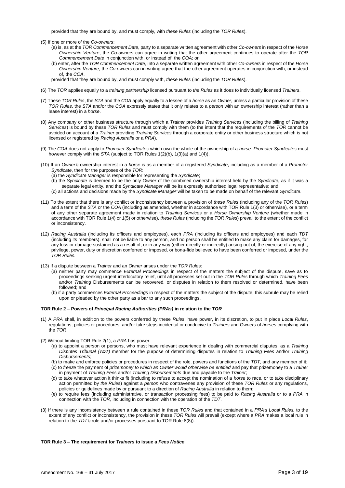provided that they are bound by, and must comply, with *these Rules* (including the *TOR Rules*).

(5) If one or more of the *Co-owners*:

- (a) is, as at the *TOR Commencement Date*, party to a separate written agreement with other *Co-owners* in respect of the *Horse Ownership Venture*, the *Co-owners* can agree in writing that the other agreement continues to operate after the *TOR Commencement Date* in conjunction with, or instead of, the *COA*; or
- (b) enter, after the *TOR Commencement Date*, into a separate written agreement with other *Co-owners* in respect of the *Horse Ownership Venture*, the *Co-owners* can in writing agree that the other agreement operates in conjunction with, or instead of, the *COA*,

provided that they are bound by, and must comply with, *these Rules* (including the *TOR Rules*).

- (6) The *TOR* applies equally to a *training partnership* licensed pursuant to *the Rules* as it does to individually licensed *Trainers*.
- (7) These *TOR Rules*, the *STA* and the *COA* apply equally to a lessee of a *horse* as an *Owner*, unless a particular provision of these *TOR Rules*, the *STA* and/or the *COA* expressly states that it only relates to a *person* with an ownership interest (rather than a lease interest) in a *horse*.
- (8) Any company or other business structure through which a *Trainer* provides *Training Services* (including the billing of *Training Services*) is bound by these *TOR Rules* and must comply with them (to the intent that the requirements of the *TOR* cannot be avoided on account of a *Trainer* providing *Training Services* through a corporate entity or other business structure which is not licensed or registered by *Racing Australia* or a *PRA*).
- (9) The *COA* does not apply to *Promoter Syndicates* which own the whole of the ownership of a *horse*. *Promoter Syndicates* must however comply with the *STA* (subject to TOR Rules 1(2)(b), 1(3)(a) and 1(4)).
- (10) If an *Owner's* ownership interest in a *horse* is as a member of a registered *Syndicate*, including as a member of a *Promoter Syndicate*, then for the purposes of the *TOR*:
	- (a) the *Syndicate Manager* is responsible for representing the *Syndicate*;
	- (b) the *Syndicate* is deemed to be the only *Owner* of the combined ownership interest held by the *Syndicate*, as if it was a separate legal entity, and the *Syndicate Manager* will be its expressly authorised legal representative; and
	- (c) all actions and decisions made by the *Syndicate Manager* will be taken to be made on behalf of the relevant *Syndicate*.
- (11) To the extent that there is any conflict or inconsistency between a provision of *these Rules* (including any of the *TOR Rules*) and a term of the *STA* or the *COA* (including as amended, whether in accordance with TOR Rule 1(3) or otherwise), or a term of any other separate agreement made in relation to *Training Services* or a *Horse Ownership Venture* (whether made in accordance with TOR Rule 1(4) or 1(5) or otherwise), *these Rules* (including the *TOR Rules*) prevail to the extent of the conflict or inconsistency.
- (12) *Racing Australia* (including its officers and employees), each *PRA* (including its officers and employees) and each *TDT*  (including its members), shall not be liable to any person, and no person shall be entitled to make any claim for damages, for any loss or damage sustained as a result of, or in any way (either directly or indirectly) arising out of, the exercise of any right, privilege, power, duty or discretion conferred or imposed, or bona-fide believed to have been conferred or imposed, under the *TOR Rules*.
- (13) If a dispute between a *Trainer* and an *Owner* arises under the *TOR Rules*:
	- (a) neither party may commence *External Proceedings* in respect of the matters the subject of the dispute, save as to proceedings seeking urgent interlocutory relief, until all processes set out in the *TOR Rules* through which *Training Fees*  and/or *Training* Disbursements can be recovered, or disputes in relation to them resolved or determined, have been followed; and
	- (b) if a party commences *External Proceedings* in respect of the matters the subject of the dispute, this subrule may be relied upon or pleaded by the other party as a bar to any such proceedings.

#### **TOR Rule 2 – Powers of** *Principal Racing Authorities (PRAs)* **in relation to the** *TOR*

- (1) A *PRA* shall, in addition to the powers conferred by these *Rules*, have power, in its discretion, to put in place *Local Rules*, regulations, policies or procedures, and/or take steps incidental or conducive to *Trainers* and O*wners* of *horses* complying with the *TOR*.
- (2) Without limiting TOR Rule 2(1), a *PRA* has power:
	- (a) to appoint a person or persons, who must have relevant experience in dealing with commercial disputes, as a *Training Disputes Tribunal (TDT)* member for the purpose of determining disputes in relation to *Training Fees* and/or *Training Disbursements*;
	- (b) to make and enforce policies or procedures in respect of the role, powers and functions of the *TDT*, and any member of it;
	- (c) to *freeze* the payment of *prizemoney to which an Owner would otherwise be entitled* and pay that prizemoney to a *Trainer*  in payment of *Training Fees* and/or *Training Disbursements* due and payable to the *Trainer*;
	- (d) to take whatever action it thinks fit (including to refuse to accept the nomination of a *horse* to race, or to take disciplinary action permitted by *the Rules*) against a *person* who contravenes any provision of these *TOR Rules* or any regulations, policies or guidelines made by or pursuant to a direction of *Racing Australia* in relation to them;
	- (e) to require fees (including administrative, or transaction processing fees) to be paid to *Racing Australia* or to a *PRA* in connection with the *TOR*, including in connection with the operation of the *TDT*.
- (3) If there is any inconsistency between a rule contained in these *TOR Rules* and that contained in a *PRA's Local Rules,* to the extent of any conflict or inconsistency, the provision in these *TOR Rules* will prevail (except where a *PRA* makes a local rule in relation to the *TDT's* role and/or processes pursuant to TOR Rule 8(8)).

#### **TOR Rule 3 – The requirement for** *Trainers* **to issue a** *Fees Notice*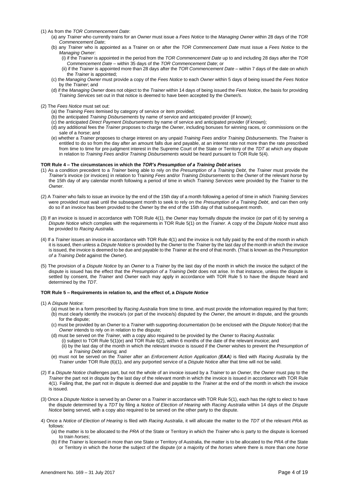(1) As from the *TOR Commencement Date*:

- (a) any *Trainer* who currently trains for an *Owner* must issue a *Fees Notice* to the *Managing Owner* within 28 days of the *TOR Commencement Date*;
- (b) any *Trainer* who is appointed as a Trainer on or after the *TOR Commencement Date* must issue a *Fees Notice* to the *Managing Owner*:
	- (i) if the *Trainer* is appointed in the period from the *TOR Commencement Date* up to and including 28 days after the *TOR Commencement Date* – within 35 days of the *TOR Commencement Date*; or
	- (ii) if the *Trainer* is appointed more than 28 days after the *TOR Commencement Date*  within 7 days of the date on which the *Trainer* is appointed;
- (c) the *Managing Owner* must provide a copy of the *Fees Notice* to each *Owner* within 5 days of being issued the *Fees Notice*  by the *Trainer*; and
- (d) if the *Managing Owner* does not object to the *Trainer* within 14 days of being issued the *Fees Notice*, the basis for providing *Training Services* set out in that notice is deemed to have been accepted by the *Owner/s*.

(2) The *Fees Notice* must set out:

- (a) the *Training Fees* itemised by category of service or item provided;
- (b) the anticipated *Training Disbursements* by name of service and anticipated provider (if known);
- (c) the anticipated *Direct Payment Disbursements* by name of service and anticipated provider (if known);
- (d) any additional fees the *Trainer* proposes to charge the *Owner*, including bonuses for winning races, or commissions on the sale of a *horse*; and
- (e) whether a *Trainer* proposes to charge interest on any unpaid *Training Fees* and/or *Training Disbursements*. The *Trainer* is entitled to do so from the day after an amount falls due and payable, at an interest rate not more than the rate prescribed from time to time for pre-judgment interest in the Supreme Court of the State or Territory of the *TDT* at which any dispute in relation to *Training Fees* and/or *Training Disbursements* would be heard pursuant to TOR Rule 5(4).

### **TOR Rule 4 – The circumstances in which the** *TOR's Presumption of a Training Debt* **arises**

- (1) As a condition precedent to a *Trainer* being able to rely on the *Presumption of a Training Debt*, the *Trainer* must provide the *Trainer's* invoice (or invoices) in relation to Tra*ining Fees* and/or *Training Disbursements* to the *Owner* of the relevant *horse* by the 15th day of any calendar month following a period of time in which *Training Services* were provided by the *Trainer* to the *Owner*.
- (2) A *Trainer* who fails to issue an invoice by the end of the 15th day of a month following a period of time in which *Training Services*  were provided must wait until the subsequent month to seek to rely on the *Presumption of a Training Debt*, and can then only do so if an invoice has been provided to the *Owner* by the end of the 15th day of that subsequent month.
- (3) If an invoice is issued in accordance with TOR Rule 4(1), the *Owner* may formally dispute the invoice (or part of it) by serving a *Dispute Notice* which complies with the requirements in TOR Rule 5(1) on the *Trainer*. A copy of the *Dispute Notice* must also be provided to *Racing Australia*.
- (4) If a *Trainer* issues an invoice in accordance with TOR Rule 4(1) and the invoice is not fully paid by the end of the month in which it is issued, then unless a *Dispute Notice* is provided by the *Owner* to the *Trainer* by the last day of the month in which the invoice is issued, the invoice is deemed to be due and payable to the *Trainer* at the end of that month. (That is known as the *Presumption of a Training Debt* against the *Owner*).
- (5) The provision of a *Dispute Notice* by an *Owner* to a *Trainer* by the last day of the month in which the invoice the subject of the dispute is issued has the effect that the *Presumption of a Training Debt* does not arise. In that instance, unless the dispute is settled by consent, the *Trainer* and *Owner* each may apply in accordance with TOR Rule 5 to have the dispute heard and determined by the *TDT*.

#### **TOR Rule 5 – Requirements in relation to, and the effect of, a** *Dispute Notice*

- (1) A *Dispute Notice*:
	- (a) must be in a form prescribed by *Racing Australia* from time to time, and must provide the information required by that form; (b) must clearly identify the invoice/s (or part of the invoice/s) disputed by the *Owner*, the amount in dispute, and the grounds for the dispute;
	- (c) must be provided by an *Owner* to a *Trainer* with supporting documentation (to be enclosed with the *Dispute Notice*) that the Owner intends to rely on in relation to the dispute;
	- (d) must be served on the *Trainer*, with a copy also required to be provided by the *Owner* to *Racing Australia*:
		- (i) subject to TOR Rule 5(1)(e) and TOR Rule 6(2), within 6 months of the date of the relevant invoice; and (ii) by the last day of the month in which the relevant invoice is issued if the *Owner* wishes to prevent the *Presumption of*
		- *a Training Debt* arising; and
	- (e) must not be served on the *Trainer* after an *Enforcement Action Application (EAA)* is filed with *Racing Australia* by the *Trainer* under TOR Rule (6)(1), and any purported service of a *Dispute Notice* after that time will not be valid.
- (2) If a *Dispute Notice* challenges part, but not the whole of an invoice issued by a *Trainer* to an *Owner*, the *Owner* must pay to the *Trainer* the part not in dispute by the last day of the relevant month in which the invoice is issued in accordance with TOR Rule 4(1). Failing that, the part not in dispute is deemed due and payable to the *Trainer* at the end of the month in which the invoice is issued.
- (3) Once a *Dispute Notice* is served by an *Owner* on a *Trainer* in accordance with TOR Rule 5(1), each has the right to elect to have the dispute determined by a *TDT* by filing a *Notice of Election of Hearing* with *Racing Australia* within 14 days of the *Dispute Notice* being served, with a copy also required to be served on the other party to the dispute.
- 4) Once a *Notice of Election of Hearing* is filed with *Racing Australia*, it will allocate the matter to the *TDT* of the relevant *PRA* as follows:
	- (a) the matter is to be allocated to the *PRA* of the State or Territory in which the *Trainer* who is party to the dispute is licensed to train *horses*;
	- (b) if the *Trainer* is licensed in more than one State or Territory of Australia, the matter is to be allocated to the *PRA* of the State or Territory in which the *horse* the subject of the dispute (or a majority of the *horses* where there is more than one *horse*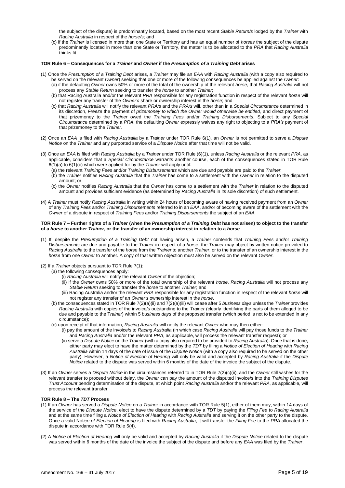the subject of the dispute) is predominantly located, based on the most recent *Stable Return/s* lodged by the *Trainer* with *Racing Australia* in respect of the *horse/s*; and

(c) if the *Trainer* is licensed in more than one State or Territory and has an equal number of *horses* the subject of the dispute predominantly located in more than one State or Territory, the matter is to be allocated to the *PRA* that *Racing Australia*  thinks fit.

#### **TOR Rule 6 – Consequences for a** *Trainer* **and** *Owner* **if the** *Presumption of a Training Debt* **arises**

- (1) Once the *Presumption of a Training Debt* arises, a *Trainer* may file an *EAA* with *Racing Australia (*with a copy also required to
	- be served on the relevant *Owner*) seeking that one or more of the following consequences be applied against the *Owner*: (a) if the defaulting *Owner* owns 50% or more of the total of the ownership of the relevant *horse*, that *Racing Australia* will not
	- process any *Stable Return* seeking to transfer the *horse* to another *Trainer*;
	- (b) that Racing Australia and/or the relevant *PRA* responsible for any registration function in respect of the relevant *horse* will not register any transfer of the *Owner's* share or ownership interest in the *horse*; and
	- (c) that *Racing Australia* will notify the relevant *PRA/s* and the *PRA/s* will, other than in a *Special Circumstance* determined in its discretion, *Freeze* the payment of *prizemoney to which the Owner would otherwise be entitled*, and direct payment of that prizemoney to the *Trainer* owed the *Training Fees* and/or *Training Disbursements*. Subject to any *Special Circumstance* determined by a *PRA*, the defaulting *Owner* expressly waives any right to objecting to a *PRA's* payment of that prizemoney to the *Trainer*.
- (2) Once an *EAA* is filed with *Racing Australia* by a *Trainer* under TOR Rule 6(1), an *Owner* is not permitted to serve a *Dispute Notice* on the *Trainer* and any purported service of a *Dispute Notice* after that time will not be valid.
- (3) Once an *EAA* is filed with *Racing Australia* by a *Trainer* under TOR Rule (6)(1)*,* unless *Racing Australia* or the relevant *PRA*, as applicable, considers that a *Special Circumstance* warrants another course, each of the consequences stated in TOR Rule 6(1)(a) to 6(1)(c) which were applied for by the *Trainer* will apply until:
	- (a) the relevant *Training Fees* and/or *Training Disbursements* which are due and payable are paid to the *Trainer*;
	- (b) the *Trainer* notifies *Racing Australia* that the *Trainer* has come to a settlement with the *Owner* in relation to the disputed amount; or
	- (c) the *Owner* notifies *Racing Australia* that the *Owner* has come to a settlement with the *Trainer* in relation to the disputed amount and provides sufficient evidence (as determined by *Racing Australia* in its sole discretion) of such settlement.
- (4) A *Trainer* must notify *Racing Australia* in writing within 24 hours of becoming aware of having received payment from an *Owner*  of any *Training Fees* and/or *Training Disbursements* referred to in an *EAA*, and/or of becoming aware of the settlement with the *Owner* of a dispute in respect of *Training Fees* and/or *Training Disbursements* the subject of an *EAA*.

#### **TOR Rule 7 – Further rights of a** *Trainer* **(when the** *Presumption of a Training Debt* **has not arisen) to object to the transfer of a** *horse* **to another** *Trainer***, or the transfer of an ownership interest in relation to a** *horse*

- (1) If, despite the *Presumption of a Training Debt* not having arisen, a *Trainer* contends that *Training Fees* and/or *Training Disbursements* are due and payable to the *Trainer* in respect of a *horse*, the *Trainer* may object by written notice provided to *Racing Australia* to the transfer of the *horse* from the *Trainer* to another *Trainer*, or to the transfer of an ownership interest in the *horse* from one *Owner* to another. A copy of that written objection must also be served on the relevant *Owner*.
- (2) If a *Trainer* objects pursuant to TOR Rule 7(1):
	- (a) the following consequences apply:
		- (i) *Racing Australia* will notify the relevant *Owner* of the objection;
		- (ii) if the *Owner* owns 50% or more of the total ownership of the relevant *horse*, *Racing Australia* will not process any *Stable Return* seeking to transfer the *horse* to another *Trainer*; and
		- (iii) Racing Australia and/or the relevant *PRA* responsible for any registration function in respect of the relevant *horse* will not register any transfer of an *Owner's* ownership interest in the *horse*.
		- (b) the consequences stated in TOR Rule 7(2)(a)(ii) and 7(2)(a)(iii) will cease after 5 *business days* unless the *Trainer* provides *Racing Australia* with copies of the invoice/s outstanding to the *Trainer* (clearly identifying the parts of them alleged to be due and payable to the T*rainer*) within 5 *business days* of the proposed transfer (which period is not to be extended in any circumstance);
		- (c) upon receipt of that information, *Racing Australia* will notify the relevant *Owner* who may then either:
			- (i) pay the amount of the invoice/s to *Racing Australia* (in which case *Racing Australia* will pay those funds to the *Trainer*  and *Racing Australia* and/or the relevant *PRA*, as applicable, will process the relevant transfer request); or
				- (ii) serve a *Dispute Notice* on the *Trainer* (with a copy also required to be provided to *Racing Australia*). Once that is done, either party may elect to have the matter determined by the *TDT* by filing a *Notice of Election of Hearing* with *Racing Australia* within 14 days of the date of issue of the *Dispute Notice* (with a copy also required to be served on the other party). However, a *Notice of Election of Hearing* will only be valid and accepted by *Racing Australia* if the *Dispute Notice* related to the dispute was served within 6 months of the date of the invoice the subject of the dispute.
- (3) If an *Owner* serves a *Dispute Notice* in the circumstances referred to in TOR Rule 7(2)(c)(ii), and the *Owner* still wishes for the relevant transfer to proceed without delay, the *Owner* can pay the amount of the disputed invoice/s into the *Training Disputes Trust Account* pending determination of the dispute, at which point *Racing Australia* and/or the relevant *PRA*, as applicable, will process the relevant transfer.

#### **TOR Rule 8 – The** *TDT* **Process**

- (1) If an *Owner* has served a *Dispute Notice* on a *Trainer* in accordance with TOR Rule 5(1), either of them may, within 14 days of the service of the *Dispute Notice*, elect to have the dispute determined by a *TDT* by paying the *Filing Fee* to *Racing Australia*  and at the same time filing a *Notice of Election of Hearing* with *Racing Australia* and serving it on the other party to the dispute. Once a valid Not*ice of Election of Hearing* is filed with *Racing Australia*, it will transfer the *Filing Fee* to the *PRA* allocated the dispute in accordance with TOR Rule 5(4).
- (2) A *Notice of Election of Hearing* will only be valid and accepted by *Racing Australia* if the *Dispute Notice* related to the dispute was served within 6 months of the date of the invoice the subject of the dispute and before any *EAA* was filed by the *Trainer*.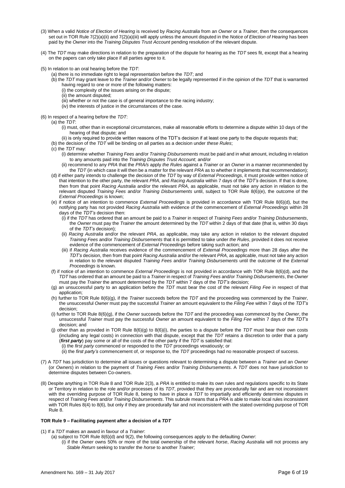- (3) When a valid *Notice of Election of Hearing* is received by *Racing Australia* from an *Owner* or a *Trainer*, then the consequences set out in TOR Rule 7(2)(a)(ii) and 7(2)(a)(iii) will apply unless the amount disputed in the *Notice of Election of Hearing* has been paid by the *Owner* into the *Training Disputes Trust Account* pending resolution of the relevant dispute.
- (4) The *TDT* may make directions in relation to the preparation of the dispute for hearing as the *TDT* sees fit, except that a hearing on the papers can only take place if all parties agree to it.
- (5) In relation to an oral hearing before the *TDT*:
	- (a) there is no immediate right to legal representation before the *TDT*; and
	- (b) the *TDT* may grant leave to the *Trainer* and/or *Owner* to be legally represented if in the opinion of the *TDT* that is warranted having regard to one or more of the following matters:
		- (i) the complexity of the issues arising on the dispute;
		- (ii) the amount disputed;
		- (iii) whether or not the case is of general importance to the racing industry;
		- (iv) the interests of justice in the circumstances of the case.
- (6) In respect of a hearing before the *TDT*:
	- (a) the *TDT*:
		- (i) must, other than in exceptional circumstances, make all reasonable efforts to determine a dispute within 10 days of the hearing of that dispute; and
	- (ii) is only required to provide written reasons of the TDT's decision if at least one party to the dispute requests that;
	- (b) the decision of the *TDT* will be binding on all parties as a decision under *these Rules*;
	- (c) the *TDT* may:
		- (i) determine whether *Training Fees* and/or *Training Disbursements* must be paid and in what amount, including in relation to any amounts paid into the *Training Disputes Trust Account*; and/or
		- (ii) recommend to any *PRA* that the *PRA/s* apply *the Rules* against a *Trainer* or an *Owner* in a manner recommended by the *TDT* (in which case it will then be a matter for the relevant *PRA* as to whether it implements that recommendation);
	- (d) if either party intends to challenge the decision of the *TDT* by way of *External Proceedings*, it must provide written notice of that intention to the other party, the relevant *PRA*, and *Racing Australia* within 7 days of the *TDT's* decision. If that is done, then from that point *Racing Australia* and/or the relevant *PRA*, as applicable, must not take any action in relation to the relevant disputed *Training Fees* and/or *Training Disbursements* until, subject to TOR Rule 8(6)(e), the outcome of the *External Proceedings* is known;
	- (e) if notice of an intention to commence *External Proceedings* is provided in accordance with TOR Rule 8(6)(d), but the notifying party has not provided *Racing Australia* with evidence of the commencement of *External Proceedings* within 28 days of the *TDT's* decision then:
		- (i) if the *TDT* has ordered that an amount be paid to a *Trainer* in respect of *Training Fees* and/or *Training Disbursements*, the *Owner* must pay the *Trainer* the amount determined by the *TDT* within 2 days of that date (that is, within 30 days of the *TDT's* decision);
		- (ii) *Racing Australia* and/or the relevant *PRA*, as applicable, may take any action in relation to the relevant disputed *Training Fees* and/or *Training Disbursements* that it is permitted to take under *the Rules*, provided it does not receive evidence of the commencement of *External Proceedings* before taking such action; and
		- (iii) if *Racing Australia* receives evidence of the commencement of *External Proceedings* more than 28 days after the *TDT's* decision, then from that point *Racing Australia* and/or the relevant *PRA*, as applicable, must not take any action in relation to the relevant disputed *Training Fees* and/or *Training Disbursements* until the outcome of the *External Proceedings* is known.
	- (f) if notice of an intention to commence *External Proceedings* is not provided in accordance with TOR Rule 8(6)(d), and the *TDT* has ordered that an amount be paid to a *Trainer* in respect of *Training Fees* and/or *Training Disbursements*, the *Owner*  must pay the *Trainer* the amount determined by the *TDT* within 7 days of the *TDT's* decision;
	- (g) an unsuccessful party to an application before the *TDT* must bear the cost of the relevant *Filing Fee* in respect of that application;
	- (h) further to TOR Rule 8(6)(g), if the *Trainer* succeeds before the *TDT* and the proceeding was commenced by the *Trainer*, the unsuccessful *Owner* must pay the successful *Trainer* an amount equivalent to the *Filing Fee* within 7 days of the *TDT's*  decision;
	- (i) further to TOR Rule 8(6)(g), if the *Owner* succeeds before the *TDT* and the proceeding was commenced by the *Owner*, the unsuccessful *Trainer* must pay the successful *Owner* an amount equivalent to the *Filing Fee* within 7 days of the *TDT's*  decision; and
	- (j) other than as provided in TOR Rule 8(6)(g) to 8(6)(i), the parties to a dispute before the *TDT* must bear their own costs (including any legal costs) in connection with that dispute, except that the *TDT* retains a discretion to order that a party (*first party*) pay some or all of the costs of the other party if the *TDT* is satisfied that:
		- (i) the *first party* commenced or responded to the *TDT* proceedings vexatiously; or
		- (ii) the *first party's* commencement of, or response to, the *TDT* proceedings had no reasonable prospect of success.
- (7) A *TDT* has jurisdiction to determine all issues or questions relevant to determining a dispute between a *Trainer* and an *Owner*  (or *Owners*) in relation to the payment of *Training Fees* and/or *Training Disbursements*. A *TDT* does not have jurisdiction to determine disputes between Co-owners.
- (8) Despite anything in TOR Rule 8 and TOR Rule 2(3), a *PRA* is entitled to make its own rules and regulations specific to its State or Territory in relation to the role and/or processes of its *TDT*, provided that they are procedurally fair and are not inconsistent with the overriding purpose of TOR Rule 8, being to have in place a *TDT* to impartially and efficiently determine disputes in respect of *Training Fees* and/or *Training Disbursements*. This subrule means that a *PRA* is able to make local rules inconsistent with TOR Rules 8(4) to 8(6), but only if they are procedurally fair and not inconsistent with the stated overriding purpose of TOR Rule 8.

#### **TOR Rule 9 – Facilitating payment after a decision of a** *TDT*

- (1) If a *TDT* makes an award in favour of a *Trainer*:
	- (a) subject to TOR Rule 8(6)(d) and 9(2), the following consequences apply to the defaulting *Owner*:
		- (i) if the *Owner* owns 50% or more of the total ownership of the relevant *horse*, *Racing Australia* will not process any *Stable Return* seeking to transfer the *horse* to another *Trainer*;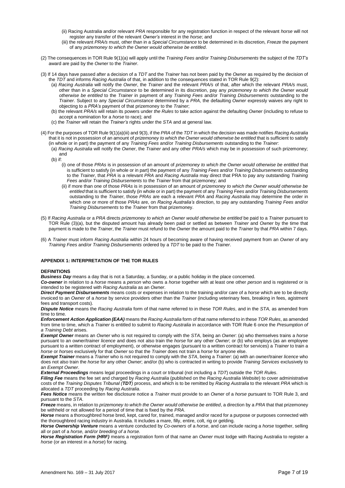- (ii) Racing Australia and/or relevant *PRA* responsible for any registration function in respect of the relevant *horse* will not register any transfer of the relevant *Owner's* interest in the *horse*; and
- (iii) the relevant *PRA/s* must, other than in a *Special Circumstance* to be determined in its discretion, *Freeze* the payment of any *prizemoney to which the Owner would otherwise be entitled*.
- (2) The consequences in TOR Rule 9(1)(a) will apply until the *Training Fees* and/or *Training Disbursements* the subject of the *TDT's*  award are paid by the *Owner* to the *Trainer*.
- (3) If 14 days have passed after a decision of a *TDT* and the *Trainer* has not been paid by the *Owner* as required by the decision of the *TDT* and informs *Racing Australia* of that, in addition to the consequences stated in TOR Rule 9(2):
	- (a) *Racing Australia* will notify the *Owner*, the *Trainer* and the relevant *PRA/s* of that, after which the relevant *PRA/s* must, other than in a *Special Circumstance* to be determined in its discretion, pay any *prizemoney to which the Owner would otherwise be entitled* to the *Trainer* in payment of any *Training Fees* and/or *Training Disbursements* outstanding to the *Trainer*. Subject to any *Special Circumstance* determined by a *PRA*, the defaulting *Owner* expressly waives any right to objecting to a *PRA's* payment of that prizemoney to the *Trainer*;
	- (b) the relevant *PRA/s* will retain its powers under *the Rules* to take action against the defaulting *Owner* (including to refuse to accept a nomination for a *horse* to race); and
	- (c) the *Trainer* will retain the *Trainer's* rights under the *STA* and at general law.
- (4) For the purposes of TOR Rule 9(1)(a)(iii) and 9(3), if the *PRA* of the *TDT* in which the decision was made notifies *Racing Australia*  that it is not in possession of an amount of *prizemoney to which the Owner would otherwise be entitled* that is sufficient to satisfy (in whole or in part) the payment of any *Training Fees* and/or *Training Disbursements* outstanding to the *Trainer*:
	- (a) *Racing Australia* will notify the *Owner*, the *Trainer* and any other *PRA/s* which may be in possession of such prizemoney; and
	- (b) if:
		- (i) one of those *PRAs* is in possession of an amount of *prizemoney to which the Owner would otherwise be entitled* that is sufficient to satisfy (in whole or in part) the payment of any *Training Fees* and/or *Training Disbursements* outstanding to the *Trainer*, that *PRA* is a relevant *PRA* and *Racing Australia* may direct that PRA to pay any outstanding *Training Fees* and/or *Training Disbursements* to the *Trainer* from that prizemoney; and
		- (ii) if more than one of those *PRAs* is in possession of an amount of *prizemoney to which the Owner would otherwise be entitled* that is sufficient to satisfy (in whole or in part) the payment of any *Training Fees* and/or *Training Disbursements*  outstanding to the *Trainer*, those *PRAs* are each a relevant *PRA* and *Racing Australia* may determine the order in which one or more of those *PRAs* are, on *Racing Australia's* direction, to pay any outstanding *Training Fees* and/or *Training Disbursements* to the *Trainer* from that prizemoney.
- (5) If *Racing Australia* or a *PRA* directs *prizemoney to which an Owner would otherwise be entitled* be paid to a *Trainer* pursuant to TOR Rule (3)(a), but the disputed amount has already been paid or settled as between *Trainer* and *Owner* by the time that payment is made to the *Trainer*, the *Trainer* must refund to the *Owner* the amount paid to the *Trainer* by that *PRA* within 7 days.
- (6) A *Trainer* must inform *Racing Australia* within 24 hours of becoming aware of having received payment from an *Owner* of any *Training Fees* and/or *Training Disbursements* ordered by a *TDT* to be paid to the *Trainer*.

#### **APPENDIX 1: INTERPRETATION OF THE TOR RULES**

#### **DEFINITIONS**

*Business Day* means a day that is not a Saturday, a Sunday, or a public holiday in the place concerned.

*Co-owner* in relation to a *horse* means a *person* who owns a *horse* together with at least one other *person* and is registered or is intended to be registered with *Racing Australia* as an *Owner*.

*Direct Payment Disbursements* means costs or expenses in relation to the training and/or care of a *horse* which are to be directly invoiced to an *Owner* of a *horse* by service providers other than the *Trainer* (including veterinary fees, breaking in fees, agistment fees and transport costs).

*Dispute Notice* means the *Racing Australia* form of that name referred to in these *TOR Rules*, and in the *STA*, as amended from time to time.

*Enforcement Action Application (EAA)* means the *Racing Australia* form of that name referred to in these *TOR Rules*, as amended from time to time, which a *Trainer* is entitled to submit to *Racing Australia* in accordance with TOR Rule 6 once the *Presumption of a Training Debt* arises.

*Exempt Owner* means an *Owner* who is not required to comply with the *STA*, being an *Owner*: (a) who themselves trains a *horse*  pursuant to an owner/trainer *licence* and does not also train the *horse* for any other *Owner*; or (b) who employs (as an employee pursuant to a written contract of employment), or otherwise engages (pursuant to a written contract for services) a *Trainer* to train a *horse* or *horses* exclusively for that *Owner* so that the *Trainer* does not train a *horse* for anyone else.

*Exempt Trainer* means a *Trainer* who is not required to comply with the *STA*, being a *Trainer*: (a) with an owner/trainer *licence* who does not also train the *horse* for any other *Owner*; and/or (b) who is contracted in writing to provide *Training Services* exclusively to an *Exempt Owner*.

*External Proceedings* means legal proceedings in a court or tribunal (not including a *TDT*) outside the *TOR Rules*.

*Filing Fee* means the fee set and charged by *Racing Australia* (published on the *Racing Australia Website*) to cover administrative costs of the *Training Disputes Tribunal (TDT)* process, and which is to be remitted by *Racing Australia* to the relevant *PRA* which is allocated a *TDT* proceeding by *Racing Australia*.

*Fees Notice* means the written fee disclosure notice a *Trainer* must provide to an *Owner* of a *horse* pursuant to TOR Rule 3, and pursuant to the *STA*.

*Freeze* means, in relation to *prizemoney to which the Owner would otherwise be entitled*, a direction by a *PRA* that that prizemoney be withheld or not allowed for a period of time that is fixed by the *PRA*.

Horse means a thoroughbred horse bred, kept, cared for, trained, managed and/or raced for a purpose or purposes connected with the thoroughbred racing industry in Australia. It includes a mare, filly, entire, colt, rig or gelding.

*Horse Ownership Venture* means a venture conducted by *Co-owners* of a *horse*, and can include racing a *horse* together, selling all or part of a *horse*, and*/or breeding of a horse.* 

*Horse Registration Form (HRF)* means a registration form of that name an *Owner* must lodge with Racing Australia to register a *horse* (or an interest in a *horse*) for racing.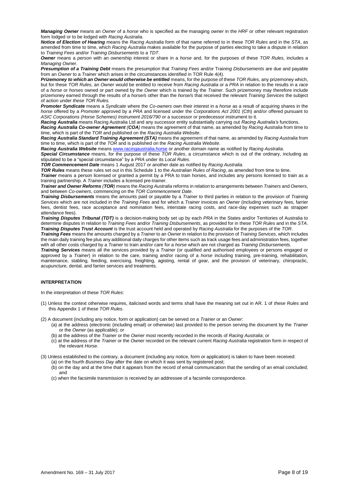*Managing Owner* means an *Owner* of a *horse* who is specified as the managing *owner* in the *HRF* or other relevant registration form lodged or to be lodged with *Racing Australia*.

*Notice of Election of Hearing* means the *Racing Australia* form of that name referred to in these *TOR Rules* and in the *STA*, as amended from time to time, which *Racing Australia* makes available for the purpose of parties electing to take a dispute in relation to *Training Fees* and/or *Training Disbursements* to a *TDT*.

*Owner* means a *person* with an ownership interest or share in a *horse* and, for the purposes of these *TOR Rules*, includes a *Managing Owner*.

*Presumption of a Training Debt* means the presumption that *Training Fees* and/or Trai*ning Disbursements* are due and payable from an *Owner* to a *Trainer* which arises in the circumstances identified in TOR Rule 4(4).

*Prizemoney to which an Owner would otherwise be entitled* means, for the purpose of these *TOR Rules*, any prizemoney which, but for these *TOR Rules*, an *Owner* would be entitled to receive from *Racing Australia* or a *PRA* in relation to the results in a *race*  of a *horse* or *horses* owned or part owned by the *Owner* which is trained by the *Trainer*. Such prizemoney may therefore include prizemoney earned through the results of a *horse/s* other than the *horse/s* that received the relevant *Training Services* the subject of action under *these TOR Rules.* 

*Promoter Syndicate* means a *Syndicate* where the *Co-owners* own their interest in a *horse* as a result of acquiring shares in the *horse* offered by a *Promoter* approved by a *PRA* and licensed under the *Corporations Act 2001* (Cth) and/or offered pursuant to *ASIC Corporations (Horse Schemes) Instrument 2016/790* or a successor or predecessor instrument to it.

*Racing Australia* means Racing Australia Ltd and any successor entity substantially carrying out *Racing Australia's* functions.

*Racing Australia Co-owner Agreement (COA)* means the agreement of that name, as amended by *Racing Australia* from time to time, which is part of the *TOR* and published on the *Racing Australia Website*.

*Racing Australia Standard Training Agreement (STA)* means the agreement of that name, as amended by *Racing Australia* from time to time, which is part of the *TOR* and is published on the *Racing Australia Website*.

*Racing Australia Website* means [www.racingaustralia.horse](http://www.racingaustralia.horse/) or another domain name as notified by *Racing Australia*.

*Special Circumstance* means, for the purpose of these *TOR Rules*, a circumstance which is out of the ordinary, including as stipulated to be a "special circumstance" by a *PRA* under its *Local Rules*.

*TOR Commencement Date* means 1 August 2017 or another date as notified by *Racing Australia*.

*TOR Rules* means these rules set out in this Schedule 1 to the *Australian Rules of Racing*, as amended from time to time.

*Trainer* means a person licensed or granted a permit by a PRA to train horses, and includes any persons licensed to train as a training partnership. A *Trainer* includes a licensed pre-trainer.

*Trainer and Owner Reforms (TOR)* means the *Racing Australia* reforms in relation to arrangements between *Trainers* and *Owners*, and between *Co-owners*, commencing on the *TOR Commencement Date*.

*Training Disbursements* means the amounts paid or payable by a *Trainer* to third parties in relation to the provision of *Training Services* which are not included in the *Training Fees* and for which a *Trainer* invoices an *Owner* (including veterinary fees, farrier fees, dentist fees, race acceptance and nomination fees, interstate racing costs, and race-day expenses such as strapper attendance fees).

*Training Disputes Tribunal (TDT)* is a decision-making body set up by each *PRA* in the States and/or Territories of Australia to determine disputes in relation to *Training Fees* and/or *Training Disbursements*, as provided for in these *TOR Rules* and in the *STA*. *Training Disputes Trust Account* is the trust account held and operated by *Racing Australia* for the purposes of the *TOR*.

*Training Fees* means the amounts charged by a *Trainer* to an *Owner* in relation to the provision of *Training Services*, which includes the main daily training fee plus any additional daily charges for other items such as track usage fees and administration fees, together with all other costs charged by a *Trainer* to train and/or care for a *horse* which are not charged as *Training Disbursements*.

*Training Services* means all the services provided by a *Trainer* (or qualified and authorised employees or persons engaged or approved by a *Trainer*) in relation to the care, training and/or racing of a *horse* including training, pre-training, rehabilitation, maintenance, stabling, feeding, exercising, freighting, agisting, rental of gear, and the provision of veterinary, chiropractic, acupuncture, dental, and farrier services and treatments.

### **INTERPRETATION**

In the interpretation of these *TOR Rules*:

- (1) Unless the context otherwise requires, italicised words and terms shall have the meaning set out in AR. 1 of *these Rules* and this Appendix 1 of these *TOR Rules*.
- (2) A document (including any notice, form or application) can be served on a *Trainer* or an *Owner*:
	- (a) at the address (electronic (including email) or otherwise) last provided to the person serving the document by the *Trainer*  or the *Owner* (as applicable); or
	- (b) at the address of the *Trainer* or the *Owner* most recently recorded in the records of *Racing Australia*; or
	- (c) at the address of the *Trainer* or the *Owner* recorded on the relevant current *Racing Australia* registration form in respect of the relevant *Horse*.

(3) Unless established to the contrary, a document (including any notice, form or application) is taken to have been received:

- (a) on the fourth *Business Day* after the date on which it was sent by registered post; (b) on the day and at the time that it appears from the record of email communication that the sending of an email concluded; and
- (c) when the facsimile transmission is received by an addressee of a facsimile correspondence.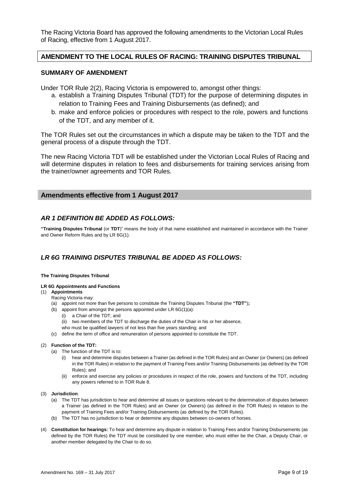The Racing Victoria Board has approved the following amendments to the Victorian Local Rules of Racing, effective from 1 August 2017.

## **AMENDMENT TO THE LOCAL RULES OF RACING: TRAINING DISPUTES TRIBUNAL**

## **SUMMARY OF AMENDMENT**

Under TOR Rule 2(2), Racing Victoria is empowered to, amongst other things:

- a. establish a Training Disputes Tribunal (TDT) for the purpose of determining disputes in relation to Training Fees and Training Disbursements (as defined); and
- b. make and enforce policies or procedures with respect to the role, powers and functions of the TDT, and any member of it.

The TOR Rules set out the circumstances in which a dispute may be taken to the TDT and the general process of a dispute through the TDT.

The new Racing Victoria TDT will be established under the Victorian Local Rules of Racing and will determine disputes in relation to fees and disbursements for training services arising from the trainer/owner agreements and TOR Rules.

## **Amendments effective from 1 August 2017**

## *AR 1 DEFINITION BE ADDED AS FOLLOWS:*

**"Training Disputes Tribunal** (or **TDT**)" means the body of that name established and maintained in accordance with the Trainer and Owner Reform Rules and by LR 6G(1).

## *LR 6G TRAINING DISPUTES TRIBUNAL BE ADDED AS FOLLOWS:*

### **The Training Disputes Tribunal**

### **LR 6G Appointments and Functions**

## (1) **Appointments**

- Racing Victoria may:
- (a) appoint not more than five persons to constitute the Training Disputes Tribunal (the **"TDT"**)**;**
- (b) appoint from amongst the persons appointed under LR 6G(1)(a):
	- (i) a Chair of the TDT; and
	- (ii) two members of the TDT to discharge the duties of the Chair in his or her absence,
	- who must be qualified lawyers of not less than five years standing; and
- (c) define the term of office and remuneration of persons appointed to constitute the TDT.

### (2) **Function of the TDT:**

- (a) The function of the TDT is to:
	- (i) hear and determine disputes between a Trainer (as defined in the TOR Rules) and an Owner (or Owners) (as defined in the TOR Rules) in relation to the payment of Training Fees and/or Training Disbursements (as defined by the TOR Rules); and
	- (ii) enforce and exercise any policies or procedures in respect of the role, powers and functions of the TDT, including any powers referred to in TOR Rule 8.
- (3) **Jurisdiction**:
	- (a) The TDT has jurisdiction to hear and determine all issues or questions relevant to the determination of disputes between a Trainer (as defined in the TOR Rules) and an Owner (or Owners) (as defined in the TOR Rules) in relation to the payment of Training Fees and/or Training Disbursements (as defined by the TOR Rules).
	- (b) The TDT has no jurisdiction to hear or determine any disputes between co-owners of horses.
- (4) **Constitution for hearings:** To hear and determine any dispute in relation to Training Fees and/or Training Disbursements (as defined by the TOR Rules) the TDT must be constituted by one member, who must either be the Chair, a Deputy Chair, or another member delegated by the Chair to do so.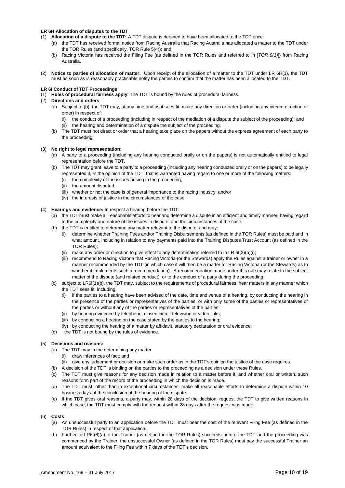### **LR 6H Allocation of disputes to the TDT**

- (1) **Allocation of a dispute to the TDT:** A TDT dispute is deemed to have been allocated to the TDT once:
	- (a) the TDT has received formal notice from Racing Australia that Racing Australia has allocated a matter to the TDT under the TOR Rules (and specifically, TOR Rule 5(4)); and
	- (b) Racing Victoria has received the Filing Fee (as defined in the TOR Rules and referred to in [*TOR 8(1)*]) from Racing Australia.
- (2) **Notice to parties of allocation of matter:** Upon receipt of the allocation of a matter to the TDT under LR 6H(1), the TDT must as soon as is reasonably practicable notify the parties to confirm that the matter has been allocated to the TDT.

### **LR 6I Conduct of TDT Proceedings**

(1) **Rules of procedural fairness apply**: The TDT is bound by the rules of procedural fairness.

### (2) **Directions and orders**:

- (a) Subject to (b), the TDT may, at any time and as it sees fit, make any direction or order (including any interim direction or order) in respect of:
	- (i) the conduct of a proceeding (including in respect of the mediation of a dispute the subject of the proceeding); and
	- (ii) the hearing and determination of a dispute the subject of the proceeding.
- (b) The TDT must not direct or order that a hearing take place on the papers without the express agreement of each party to the proceeding.

### (3) **No right to legal representation**:

- (a) A party to a proceeding (including any hearing conducted orally or on the papers) is not automatically entitled to legal representation before the TDT.
- (b) The TDT may grant leave to a party to a proceeding (including any hearing conducted orally or on the papers) to be legally represented if, in the opinion of the TDT, that is warranted having regard to one or more of the following matters:
	- (i) the complexity of the issues arising in the proceeding;
	- (ii) the amount disputed;
	- (iii) whether or not the case is of general importance to the racing industry; and/or
	- (iv) the interests of justice in the circumstances of the case.

### (4) **Hearings and evidence:** In respect a hearing before the TDT:

- (a) the TDT must make all reasonable efforts to hear and determine a dispute in an efficient and timely manner, having regard to the complexity and nature of the issues in dispute, and the circumstances of the case;
- (b) the TDT is entitled to determine any matter relevant to the dispute, and may:
	- (i) determine whether Training Fees and/or Training Disbursements (as defined in the TOR Rules) must be paid and in what amount, including in relation to any payments paid into the Training Disputes Trust Account (as defined in the TOR Rules);
	- (ii) make any order or direction to give effect to any determination referred to in LR 6I(3)(b)(i);
	- (iii) recommend to Racing Victoria that Racing Victoria (or the Stewards) apply the Rules against a trainer or owner in a manner recommended by the TDT (in which case it will then be a matter for Racing Victoria (or the Stewards) as to whether it implements such a recommendation). A recommendation made under this rule may relate to the subject matter of the dispute (and related conduct), or to the conduct of a party during the proceeding;
- (c) subject to LR6I(1)(b), the TDT may, subject to the requirements of procedural fairness, hear matters in any manner which the TDT sees fit, including:
	- (i) if the parties to a hearing have been advised of the date, time and venue of a hearing, by conducting the hearing in the presence of the parties or representatives of the parties, or with only some of the parties or representatives of the parties or without any of the parties or representatives of the parties;
	- (ii) by hearing evidence by telephone, closed circuit television or video links;
	- (iii) by conducting a hearing on the case stated by the parties to the hearing;
	- (iv) by conducting the hearing of a matter by affidavit, statutory declaration or oral evidence;
- (d) the TDT is not bound by the rules of evidence.

### (5) **Decisions and reasons:**

- (a) The TDT may in the determining any matter:
	- (i) draw inferences of fact; and
	- (ii) give any judgement or decision or make such order as in the TDT's opinion the justice of the case requires.
- (b) A decision of the TDT is binding on the parties to the proceeding as a decision under these Rules.
- (c) The TDT must give reasons for any decision made in relation to a matter before it, and whether oral or written, such reasons form part of the record of the proceeding in which the decision is made.
- (d) The TDT must, other than in exceptional circumstances, make all reasonable efforts to determine a dispute within 10 business days of the conclusion of the hearing of the dispute.
- (e) If the TDT gives oral reasons, a party may, within 28 days of the decision, request the TDT to give written reasons in which case, the TDT must comply with the request within 28 days after the request was made.

### (6) **Costs**

- (a) An unsuccessful party to an application before the TDT must bear the cost of the relevant Filing Fee (as defined in the TOR Rules) in respect of that application.
- (b) Further to LR6I(6)(a), if the Trainer (as defined in the TOR Rules) succeeds before the TDT and the proceeding was commenced by the Trainer, the unsuccessful Owner (as defined in the TOR Rules) must pay the successful Trainer an amount equivalent to the Filing Fee within 7 days of the TDT's decision.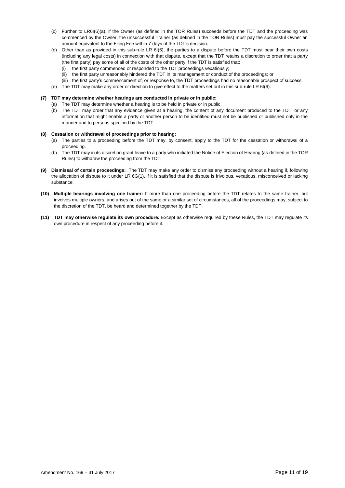- (c) Further to LR6I(6)(a), if the Owner (as defined in the TOR Rules) succeeds before the TDT and the proceeding was commenced by the Owner, the unsuccessful Trainer (as defined in the TOR Rules) must pay the successful Owner an amount equivalent to the Filing Fee within 7 days of the TDT's decision.
- (d) Other than as provided in this sub-rule LR 6I(6), the parties to a dispute before the TDT must bear their own costs (including any legal costs) in connection with that dispute, except that the TDT retains a discretion to order that a party (the first party) pay some of all of the costs of the other party if the TDT is satisfied that:
	- (i) the first party commenced or responded to the TDT proceedings vexatiously;
	- (ii) the first party unreasonably hindered the TDT in its management or conduct of the proceedings; or
	- (iii) the first party's commencement of, or response to, the TDT proceedings had no reasonable prospect of success.
- (e) The TDT may make any order or direction to give effect to the matters set out in this sub-rule LR 6I(6).

### **(7) TDT may determine whether hearings are conducted in private or in public:**

- (a) The TDT may determine whether a hearing is to be held in private or in public.
- (b) The TDT may order that any evidence given at a hearing, the content of any document produced to the TDT, or any information that might enable a party or another person to be identified must not be published or published only in the manner and to persons specified by the TDT.

#### **(8) Cessation or withdrawal of proceedings prior to hearing:**

- (a) The parties to a proceeding before the TDT may, by consent, apply to the TDT for the cessation or withdrawal of a proceeding.
- (b) The TDT may in its discretion grant leave to a party who initiated the Notice of Election of Hearing (as defined in the TOR Rules) to withdraw the proceeding from the TDT.
- **(9) Dismissal of certain proceedings:** The TDT may make any order to dismiss any proceeding without a hearing if, following the allocation of dispute to it under LR 6G(1), if it is satisfied that the dispute is frivolous, vexatious, misconceived or lacking substance.
- **(10) Multiple hearings involving one trainer:** If more than one proceeding before the TDT relates to the same trainer, but involves multiple owners, and arises out of the same or a similar set of circumstances, all of the proceedings may, subject to the discretion of the TDT, be heard and determined together by the TDT.
- **(11) TDT may otherwise regulate its own procedure:** Except as otherwise required by these Rules, the TDT may regulate its own procedure in respect of any proceeding before it.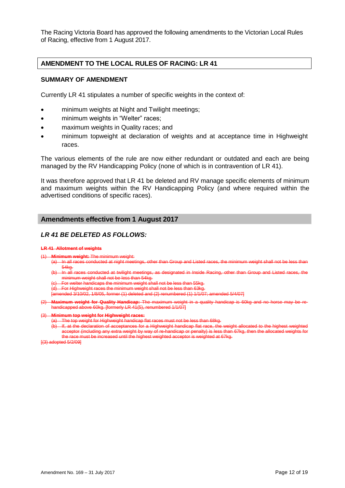The Racing Victoria Board has approved the following amendments to the Victorian Local Rules of Racing, effective from 1 August 2017.

## **AMENDMENT TO THE LOCAL RULES OF RACING: LR 41**

## **SUMMARY OF AMENDMENT**

Currently LR 41 stipulates a number of specific weights in the context of:

- minimum weights at Night and Twilight meetings;
- minimum weights in "Welter" races;
- maximum weights in Quality races; and
- minimum topweight at declaration of weights and at acceptance time in Highweight races.

The various elements of the rule are now either redundant or outdated and each are being managed by the RV Handicapping Policy (none of which is in contravention of LR 41).

It was therefore approved that LR 41 be deleted and RV manage specific elements of minimum and maximum weights within the RV Handicapping Policy (and where required within the advertised conditions of specific races).

## **Amendments effective from 1 August 2017**

## *LR 41 BE DELETED AS FOLLOWS:*

### **LR 41 Allotment of weights**

- **Minimum weight:** The minimum weight:<br>(a) In all races conducted at night mee
	- In all races conducted at night meetings, other than Group and Listed races, the minimum weight shall not be less
	- 54kg.<br>In all races conducted at twilight meetings, as designated in Inside Racing, other than Group and Listed race minimum weight shall not be less than 54kg.
	- For welter handicaps the minimum weight shall not be less than 55kg.
	- (d) For Highweight races the minimum weight shall not be less than 63kg.
	- 1/8/05, former (1) deleted and (2) renumbered (1)  $1/1/\overline{07}$ ; amended 5/4/07]
- (2) **Maximum weight for Quality Handicap:** The maximum weight in a quality handicap is 60kg and no horse may be rehandicapped above 60kg. [formerly LR 41(5), renumbered 1/1/07]

### (3) **Minimum top weight for Highweight races:**

- (a) The top weight for Highweight handicap flat races must not be less than 68kg.
	- (b) If, at the declaration of acceptances for a Highweight handicap flat race, the weight allocated to the highest weighted acceptor (including any extra weight by way of re-handicap or penalty) is less than 67kg, then the allocated weights for weighted acceptor is weighted at 67kg.

[(3) adopted 5/2/09]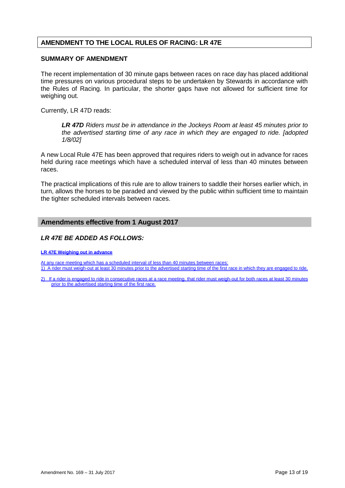## **AMENDMENT TO THE LOCAL RULES OF RACING: LR 47E**

## **SUMMARY OF AMENDMENT**

The recent implementation of 30 minute gaps between races on race day has placed additional time pressures on various procedural steps to be undertaken by Stewards in accordance with the Rules of Racing. In particular, the shorter gaps have not allowed for sufficient time for weighing out.

Currently, LR 47D reads:

*LR 47D Riders must be in attendance in the Jockeys Room at least 45 minutes prior to the advertised starting time of any race in which they are engaged to ride. [adopted 1/8/02]*

A new Local Rule 47E has been approved that requires riders to weigh out in advance for races held during race meetings which have a scheduled interval of less than 40 minutes between races.

The practical implications of this rule are to allow trainers to saddle their horses earlier which, in turn, allows the horses to be paraded and viewed by the public within sufficient time to maintain the tighter scheduled intervals between races.

## **Amendments effective from 1 August 2017**

## *LR 47E BE ADDED AS FOLLOWS:*

**LR 47E Weighing out in advance**

At any race meeting which has a scheduled interval of less than 40 minutes between races 1) A rider must weigh-out at least 30 minutes prior to the advertised starting time of the first race in which they are engaged to ride.

2) If a rider is engaged to ride in consecutive races at a race meeting, that rider must weigh-out for both races at least 30 minutes prior to the advertised starting time of the first race.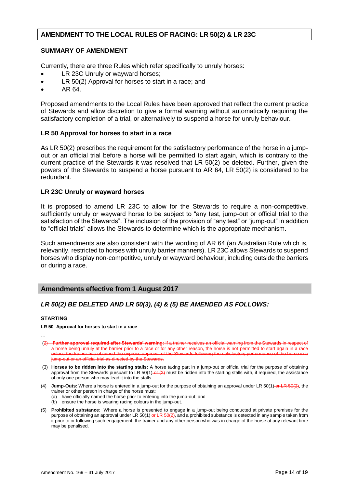## **AMENDMENT TO THE LOCAL RULES OF RACING: LR 50(2) & LR 23C**

## **SUMMARY OF AMENDMENT**

Currently, there are three Rules which refer specifically to unruly horses:

- LR 23C Unruly or wayward horses;
- LR 50(2) Approval for horses to start in a race; and
- AR 64.

Proposed amendments to the Local Rules have been approved that reflect the current practice of Stewards and allow discretion to give a formal warning without automatically requiring the satisfactory completion of a trial, or alternatively to suspend a horse for unruly behaviour.

## **LR 50 Approval for horses to start in a race**

As LR 50(2) prescribes the requirement for the satisfactory performance of the horse in a jumpout or an official trial before a horse will be permitted to start again, which is contrary to the current practice of the Stewards it was resolved that LR 50(2) be deleted. Further, given the powers of the Stewards to suspend a horse pursuant to AR 64, LR 50(2) is considered to be redundant.

## **LR 23C Unruly or wayward horses**

It is proposed to amend LR 23C to allow for the Stewards to require a non-competitive, sufficiently unruly or wayward horse to be subject to "any test, jump-out or official trial to the satisfaction of the Stewards". The inclusion of the provision of "any test" or "jump-out" in addition to "official trials" allows the Stewards to determine which is the appropriate mechanism.

Such amendments are also consistent with the wording of AR 64 (an Australian Rule which is, relevantly, restricted to horses with unruly barrier manners). LR 23C allows Stewards to suspend horses who display non-competitive, unruly or wayward behaviour, including outside the barriers or during a race.

## **Amendments effective from 1 August 2017**

## *LR 50(2) BE DELETED AND LR 50(3), (4) & (5) BE AMENDED AS FOLLOWS:*

### **STARTING**

**LR 50 Approval for horses to start in a race**

**…**

- (2) **Further approval required after Stewards' warning: If a trainer receitial year** a horse being unruly at the barrier prior to a race or for any other reason, the horse is not permitted to start again in a unless the trainer has obtained the express approval of the Stewards following the satisfactory performance of the horse in a out or an official trial as directed by the Stewards.
- (3) **Horses to be ridden into the starting stalls:** A horse taking part in a jump-out or official trial for the purpose of obtaining approval from the Stewards pursuant to LR  $50(1)$ -or  $(2)$  must be ridden into the starting stalls with, if required, the assistance of only one person who may lead it into the stalls.
- (4) **Jump-Outs:** Where a horse is entered in a jump-out for the purpose of obtaining an approval under LR 50(1) or LR 50(2), the trainer or other person in charge of the horse must:
	- (a) have officially named the horse prior to entering into the jump-out; and
	- (b) ensure the horse is wearing racing colours in the jump-out.
- (5) **Prohibited substance**: Where a horse is presented to engage in a jump-out being conducted at private premises for the purpose of obtaining an approval under LR 50(1) or LR 50(2), and a prohibited substance is detected in any sample taken from it prior to or following such engagement, the trainer and any other person who was in charge of the horse at any relevant time may be penalised.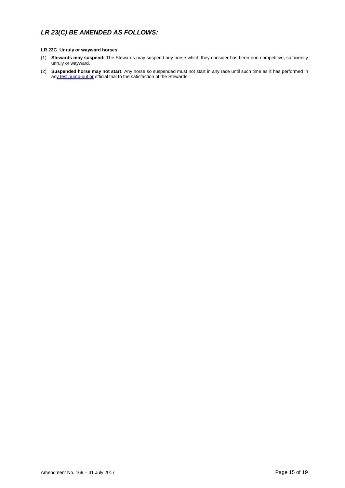## *LR 23(C) BE AMENDED AS FOLLOWS:*

### **LR 23C Unruly or wayward horses**

- (1) **Stewards may suspend:** The Stewards may suspend any horse which they consider has been non-competitive, sufficiently unruly or wayward.
- (2) **Suspended horse may not start:** Any horse so suspended must not start in any race until such time as it has performed in any test, jump-out or official trial to the satisfaction of the Stewards.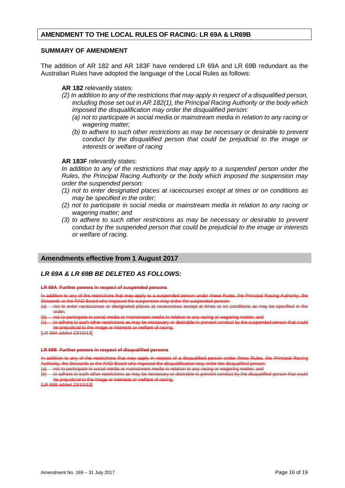## **AMENDMENT TO THE LOCAL RULES OF RACING: LR 69A & LR69B**

### **SUMMARY OF AMENDMENT**

The addition of AR 182 and AR 183F have rendered LR 69A and LR 69B redundant as the Australian Rules have adopted the language of the Local Rules as follows:

**AR 182** relevantly states:

- *(2) In addition to any of the restrictions that may apply in respect of a disqualified person, including those set out in AR 182(1), the Principal Racing Authority or the body which imposed the disqualification may order the disqualified person:*
	- *(a) not to participate in social media or mainstream media in relation to any racing or wagering matter;*
	- *(b)* to adhere to such other restrictions as may be necessary or desirable to prevent *conduct by the disqualified person that could be prejudicial to the image or interests or welfare of racing*

### **AR 183F** relevantly states:

*In addition to any of the restrictions that may apply to a suspended person under the Rules, the Principal Racing Authority or the body which imposed the suspension may order the suspended person:*

- *(1) not to enter designated places at racecourses except at times or on conditions as may be specified in the order;*
- *(2) not to participate in social media or mainstream media in relation to any racing or wagering matter; and*
- *(3) to adhere to such other restrictions as may be necessary or desirable to prevent conduct by the suspended person that could be prejudicial to the image or interests or welfare of racing.*

## **Amendments effective from 1 August 2017**

## *LR 69A & LR 69B BE DELETED AS FOLLOWS:*

### **LR 69A Further powers in respect of suspended persons**

In addition to any of the restrictions that may apply to a suspended person under these Rules, the Principal Racing Authority, the<br>Stewards or the RAD Board who imposed the suspension may order the suspended person: rds or the RAD Board who imposed the suspension may order the suspended person:<br>not to enter racecourses or designated places at racecourses except at times or on (

hav be specified in the order;

rticipate in social media or mainstream media in relation to any racing or wage

to adhere to such other restrictions as may be necessary or desirable to prevent conduct by the suspended person that could be prejudicial to the image or interests or welfare of racing.

 $\frac{1}{0}$  added 23/10/13]

### **LR 69B Further powers in respect of disqualified persons**

In addition to any of the restrictions that may apply in respect of a disqualified person under these Rules, the Principal Racing ity, the Stewards or the RAD Board who impose

(a) not to participate in social media or mainstream media in relation to any racing or wagering matter; and

adhere to such other restrictions as may be necess be prejudicial to the image or interests or welfare of racing.

[LR 69B added 23/10/13]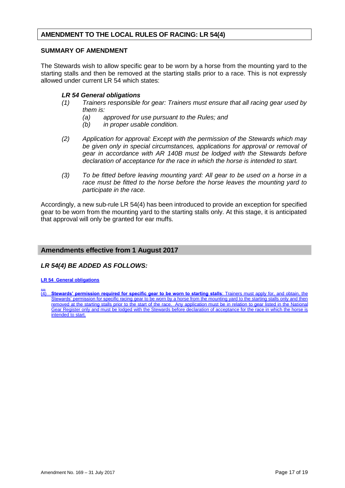## **AMENDMENT TO THE LOCAL RULES OF RACING: LR 54(4)**

### **SUMMARY OF AMENDMENT**

The Stewards wish to allow specific gear to be worn by a horse from the mounting yard to the starting stalls and then be removed at the starting stalls prior to a race. This is not expressly allowed under current LR 54 which states:

## *LR 54 General obligations*

- *(1) Trainers responsible for gear: Trainers must ensure that all racing gear used by them is:* 
	- *(a) approved for use pursuant to the Rules; and*
	- *(b) in proper usable condition.*
- *(2) Application for approval: Except with the permission of the Stewards which may be given only in special circumstances, applications for approval or removal of gear in accordance with AR 140B must be lodged with the Stewards before declaration of acceptance for the race in which the horse is intended to start.*
- *(3) To be fitted before leaving mounting yard: All gear to be used on a horse in a race must be fitted to the horse before the horse leaves the mounting yard to participate in the race.*

Accordingly, a new sub-rule LR 54(4) has been introduced to provide an exception for specified gear to be worn from the mounting yard to the starting stalls only. At this stage, it is anticipated that approval will only be granted for ear muffs.

## **Amendments effective from 1 August 2017**

## *LR 54(4) BE ADDED AS FOLLOWS:*

### **LR 54 General obligations**

**…** (4) **Stewards' permission required for specific gear to be worn to starting stalls**: Trainers must apply for, and obtain, the Stewards' permission for specific racing gear to be worn by a horse from the mounting yard to the starting stalls only and then removed at the starting stalls prior to the start of the race. Any application must be in relation to gear listed in the National Gear Register only and must be lodged with the Stewards before declaration of acceptance for the race in which the intended to start.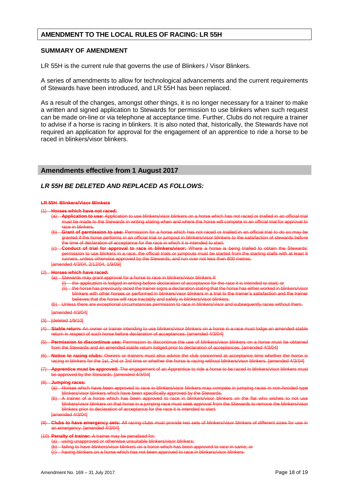## **AMENDMENT TO THE LOCAL RULES OF RACING: LR 55H**

### **SUMMARY OF AMENDMENT**

LR 55H is the current rule that governs the use of Blinkers / Visor Blinkers.

A series of amendments to allow for technological advancements and the current requirements of Stewards have been introduced, and LR 55H has been replaced.

As a result of the changes, amongst other things, it is no longer necessary for a trainer to make a written and signed application to Stewards for permission to use blinkers when such request can be made on-line or via telephone at acceptance time. Further, Clubs do not require a trainer to advise if a horse is racing in blinkers. It is also noted that, historically, the Stewards have not required an application for approval for the engagement of an apprentice to ride a horse to be raced in blinkers/visor blinkers.

## **Amendments effective from 1 August 2017**

## *LR 55H BE DELETED AND REPLACED AS FOLLOWS:*

### **LR 55H Blinkers/Visor Blinkers**

### (1) **Horses which have not raced:**

- (a) **Application to use:** Application to use blinkers/visor blinkers on a horse which has not raced or trialled in an official trial must be made to the Stewards in writing stating when and where the horse will compete in an official trial for approval to race in blinkers.
- (b) **Grant of permission to use:** Permission for a horse which has not raced or trialled in an official trial to do so may be granted if the horse performs in an official trial or jumpout in blinkers/visor blinkers to the satisfaction of stewards before the time of declaration of acceptance for the race in which it is intended to start.
- **Conduct of trial for approval to race in blinkers/visor:** Where a horse is being trialled to obtain permission to use blinkers in a race, the official trials or jumpouts must be started from the starting stalls with at least 6 runners, unless otherwise approved by the Stewards, and run over not less than 800 metres.

ended 4/3/04, 2/12/04, 1/9/09]

### (2) **Horses which have raced:**

- Stewards may grant approval for a horse to race in blinkers/visor blinkers if:<br>(i) the application is lodged in writing before declaration of acceptance for
	- the application is lodged in writing before declaration of acceptance for the race it is intended to start; or the horse has previously raced the trainer signs a declaration stating that the horse has either worked in blinking that the horse has either horses or performed in blinkers/visor blinkers in a trial to the trainer's satis
	- blinkers with other horses or performed in blinkers/visor blinkers in a trial to the trainer's satisfaction and the trainer believes that the horse will race tractably and safely in blinkers/visor blinkers.<br>Linkers there are exceptional circumstances permission to race in blinkers/visor and to race in blinkers/visor and subsequently races without the

[amended 4/3/04]

- (3) [deleted 1/9/10]
- (4) **Stable return:** An owner or trainer intending to use blinkers/visor blinkers on a horse in a race must lodge an amended stable return in respect of such horse before declaration of acceptances. [amended 4/3/04]
- (5) **Permission to discontinue use:** Permission to discontinue the use of blinkers/visor blinkers on a horse must be obtained from the Stewards and an amended stable return lodged prior to declaration of acceptances. [amended 4/3/04]
- **Notice to racing clubs:** Owners or trainers must also advise the club concerned at racing in blinkers for the 1st, 2nd or 3rd time or whether the horse is racing without blinkers/visor blinkers. [amended 4/3/04]
- (7) **Apprentice must be approved:** The engagement of an Apprentice to ride a horse to be raced in blinkers/visor blinkers must **be approved by the Stewards. [amended 4/3/04]**
- (8) **Jumping races:**
	- (a) Horses which have been approved to race in blinkers/visor blinkers may compete in jumping races in non-hooded type blinkers/visor blinkers which have been specifically approved by the Stewards.
	- trainer of a horse which has been approved to race in blinkers/visor blinkers on the flat who wishes to not use<br>inkers/visor blinkers on that horse in a jumping race must seek approval from the Stewards to remove the blink blinkers/visor blinkers on that horse in a jumping race must seek approval from the blinkers prior to declaration of acceptance for the race it is intended to start.

 $ended$  4/3/04]

- (9) **Clubs to have emergency sets:** All racing clubs must provide two sets of blinkers/visor blinkers of different sizes for use in an emergency. [amended 4/3/04]
- (10) **Penalty of trainer:** A trainer may be penalised for:
	- (a) using unapproved or otherwise unsuitable blinkers/visor blinkers;
	- failing to have blinkers/visor blinkers on a horse which has been app
	- having blinkers on a horse which has not been approved to race in blinkers/visor blinkers